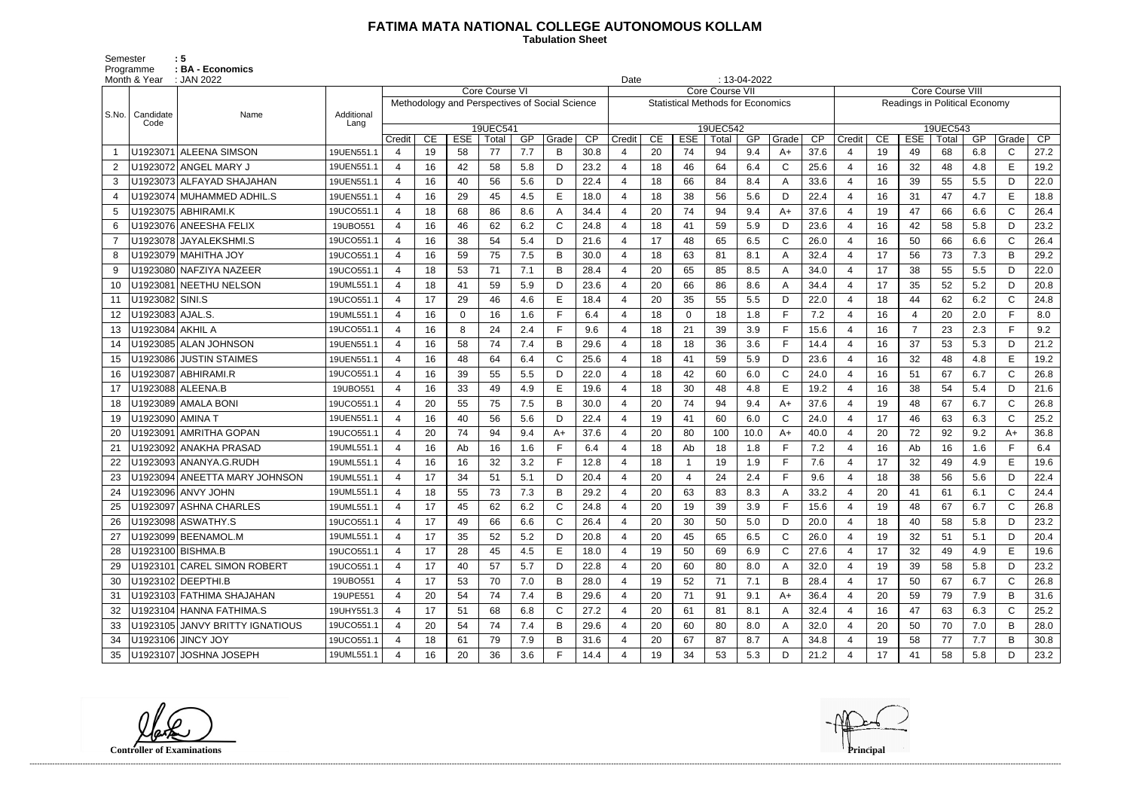## **FATIMA MATA NATIONAL COLLEGE AUTONOMOUS KOLLAM**

 **Tabulation Sheet** 

Semester : 5 Programme : **BA - Economics** 

|                | Month & Year      | : JAN 2022                      |                    |                                                                  |    |             |                   |     |       |      | Date                   |    |                                          |                   | $: 13-04-2022$ |              |      |                |                         |                |                               |     |              |                 |  |
|----------------|-------------------|---------------------------------|--------------------|------------------------------------------------------------------|----|-------------|-------------------|-----|-------|------|------------------------|----|------------------------------------------|-------------------|----------------|--------------|------|----------------|-------------------------|----------------|-------------------------------|-----|--------------|-----------------|--|
|                |                   |                                 |                    | Core Course VI<br>Methodology and Perspectives of Social Science |    |             |                   |     |       |      | <b>Core Course VII</b> |    |                                          |                   |                |              |      |                | <b>Core Course VIII</b> |                |                               |     |              |                 |  |
|                |                   |                                 |                    |                                                                  |    |             |                   |     |       |      |                        |    | <b>Statistical Methods for Economics</b> |                   |                |              |      |                |                         |                | Readings in Political Economy |     |              |                 |  |
| S.No.          | Candidate<br>Code | Name                            | Additional<br>Lang |                                                                  |    |             |                   |     |       |      |                        |    |                                          |                   |                |              |      | 19UEC543       |                         |                |                               |     |              |                 |  |
|                |                   |                                 |                    | Credit                                                           | CE | <b>ESE</b>  | 19UEC541<br>Total | GP  | Grade | CP   | Credit                 | CE | <b>ESE</b>                               | 19UEC542<br>Total | GP             | Grade        | CP   | Credit         | CE                      | <b>ESE</b>     | Total                         | GP  | Grade        | $\overline{CP}$ |  |
| -1             |                   | U1923071 ALEENA SIMSON          | 19UEN551.1         | 4                                                                | 19 | 58          | 77                | 7.7 | B     | 30.8 |                        | 20 | 74                                       | 94                | 9.4            | $A+$         | 37.6 | 4              | 19                      | 49             | 68                            | 6.8 | $\mathsf{C}$ | 27.2            |  |
| $\overline{2}$ |                   | U1923072 ANGEL MARY J           | 19UEN551.1         | 4                                                                | 16 | 42          | 58                | 5.8 | D     | 23.2 |                        | 18 | 46                                       | 64                | 6.4            | $\mathsf{C}$ | 25.6 | $\overline{4}$ | 16                      | 32             | 48                            | 4.8 | E            | 19.2            |  |
| 3              |                   | U1923073 ALFAYAD SHAJAHAN       | 19UEN551.1         | 4                                                                | 16 | 40          | 56                | 5.6 | D     | 22.4 |                        | 18 | 66                                       | 84                | 8.4            | A            | 33.6 | $\overline{4}$ | 16                      | 39             | 55                            | 5.5 | D            | 22.0            |  |
|                |                   | U1923074 MUHAMMED ADHIL.S       | 19UEN551.1         | 4                                                                | 16 | 29          | 45                | 4.5 | Е     | 18.0 |                        | 18 | 38                                       | 56                | 5.6            | D            | 22.4 | 4              | 16                      | 31             | 47                            | 4.7 | E            | 18.8            |  |
| 5              |                   | U1923075 ABHIRAMI.K             | 19UCO551.1         | 4                                                                | 18 | 68          | 86                | 8.6 | A     | 34.4 |                        | 20 | 74                                       | 94                | 9.4            | A+           | 37.6 | $\overline{4}$ | 19                      | 47             | 66                            | 6.6 | $\mathsf{C}$ | 26.4            |  |
| 6              |                   | U1923076 ANEESHA FELIX          | 19UBO551           | 4                                                                | 16 | 46          | 62                | 6.2 | C     | 24.8 |                        | 18 | 41                                       | 59                | 5.9            | D            | 23.6 | 4              | 16                      | 42             | 58                            | 5.8 | D            | 23.2            |  |
| $\overline{7}$ |                   | U1923078 JAYALEKSHMI.S          | 19UCO551.1         | $\boldsymbol{\Delta}$                                            | 16 | 38          | 54                | 5.4 | D     | 21.6 |                        | 17 | 48                                       | 65                | 6.5            | $\mathsf{C}$ | 26.0 | $\overline{4}$ | 16                      | 50             | 66                            | 6.6 | $\mathsf{C}$ | 26.4            |  |
| 8              |                   | U1923079 MAHITHA JOY            | 19UCO551.1         | 4                                                                | 16 | 59          | 75                | 7.5 | B     | 30.0 |                        | 18 | 63                                       | 81                | 8.1            | A            | 32.4 | $\overline{4}$ | 17                      | 56             | 73                            | 7.3 | B            | 29.2            |  |
| 9              |                   | U1923080 NAFZIYA NAZEER         | 19UCO551.1         | 4                                                                | 18 | 53          | 71                | 7.1 | B     | 28.4 |                        | 20 | 65                                       | 85                | 8.5            | A            | 34.0 | 4              | 17                      | 38             | 55                            | 5.5 | D            | 22.0            |  |
| 10             |                   | U1923081 NEETHU NELSON          | 19UML551.1         | 4                                                                | 18 | 41          | 59                | 5.9 | D     | 23.6 |                        | 20 | 66                                       | 86                | 8.6            | A            | 34.4 | $\overline{4}$ | 17                      | 35             | 52                            | 5.2 | D            | 20.8            |  |
| 11             | U1923082 SINI.S   |                                 | 19UCO551.1         | 4                                                                | 17 | 29          | 46                | 4.6 | E     | 18.4 |                        | 20 | 35                                       | 55                | 5.5            | D            | 22.0 | -4             | 18                      | 44             | 62                            | 6.2 | $\mathsf{C}$ | 24.8            |  |
| 12             | U1923083 AJAL.S.  |                                 | 19UML551.1         | $\boldsymbol{\Delta}$                                            | 16 | $\mathbf 0$ | 16                | 1.6 |       | 6.4  |                        | 18 | $\Omega$                                 | 18                | 1.8            | E            | 7.2  | $\overline{4}$ | 16                      | $\overline{4}$ | 20                            | 2.0 | E.           | 8.0             |  |
| 13             | U1923084 AKHIL A  |                                 | 19UCO551.1         | 4                                                                | 16 | 8           | 24                | 2.4 | F.    | 9.6  |                        | 18 | 21                                       | 39                | 3.9            | E            | 15.6 | $\overline{4}$ | 16                      | $\overline{7}$ | 23                            | 2.3 | E.           | 9.2             |  |
| 14             |                   | U1923085 ALAN JOHNSON           | 19UEN551.1         | 4                                                                | 16 | 58          | 74                | 7.4 | B     | 29.6 |                        | 18 | 18                                       | 36                | 3.6            | F            | 14.4 | 4              | 16                      | 37             | 53                            | 5.3 | D            | 21.2            |  |
| 15             |                   | U1923086 JUSTIN STAIMES         | 19UEN551.1         | 4                                                                | 16 | 48          | 64                | 6.4 | C     | 25.6 |                        | 18 | 41                                       | 59                | 5.9            | D            | 23.6 | $\overline{4}$ | 16                      | 32             | 48                            | 4.8 | E            | 19.2            |  |
| 16             |                   | U1923087 ABHIRAMI.R             | 19UCO551.1         | 4                                                                | 16 | 39          | 55                | 5.5 | D.    | 22.0 |                        | 18 | 42                                       | 60                | 6.0            | $\mathsf{C}$ | 24.0 | 4              | 16                      | 51             | 67                            | 6.7 | $\mathsf{C}$ | 26.8            |  |
| 17             |                   | U1923088 ALEENA.B               | 19UBO551           | 4                                                                | 16 | 33          | 49                | 4.9 | E     | 19.6 |                        | 18 | 30                                       | 48                | 4.8            | E            | 19.2 | $\overline{4}$ | 16                      | 38             | 54                            | 5.4 | D            | 21.6            |  |
| 18             |                   | U1923089 AMALA BONI             | 19UCO551.1         | $\boldsymbol{\Delta}$                                            | 20 | 55          | 75                | 7.5 | B     | 30.0 |                        | 20 | 74                                       | 94                | 9.4            | $A+$         | 37.6 | $\overline{4}$ | 19                      | 48             | 67                            | 6.7 | $\mathsf{C}$ | 26.8            |  |
| 19             | U1923090 AMINA T  |                                 | 19UEN551.1         | 4                                                                | 16 | 40          | 56                | 5.6 | D     | 22.4 |                        | 19 | 41                                       | 60                | 6.0            | $\mathsf{C}$ | 24.0 | 4              | 17                      | 46             | 63                            | 6.3 | $\mathsf{C}$ | 25.2            |  |
| 20             |                   | U1923091 AMRITHA GOPAN          | 19UCO551.1         | 4                                                                | 20 | 74          | 94                | 9.4 | $A+$  | 37.6 |                        | 20 | 80                                       | 100               | 10.0           | $A+$         | 40.0 | $\overline{4}$ | 20                      | 72             | 92                            | 9.2 | $A+$         | 36.8            |  |
| 21             |                   | U1923092 ANAKHA PRASAD          | 19UML551.1         | 4                                                                | 16 | Ab          | 16                | 1.6 |       | 6.4  |                        | 18 | Ab                                       | 18                | 1.8            | E            | 7.2  | 4              | 16                      | Ab             | 16                            | 1.6 |              | 6.4             |  |
| 22             |                   | U1923093 ANANYA.G.RUDH          | 19UML551.1         | 4                                                                | 16 | 16          | 32                | 3.2 |       | 12.8 |                        | 18 |                                          | 19                | 1.9            | E            | 7.6  | $\overline{4}$ | 17                      | 32             | 49                            | 4.9 | E            | 19.6            |  |
| 23             |                   | U1923094 ANEETTA MARY JOHNSON   | 19UML551.1         | 4                                                                | 17 | 34          | 51                | 5.1 | D     | 20.4 |                        | 20 |                                          | 24                | 2.4            | E            | 9.6  | $\overline{4}$ | 18                      | 38             | 56                            | 5.6 | D            | 22.4            |  |
| 24             |                   | U1923096 ANVY JOHN              | 19UML551.1         | Δ                                                                | 18 | 55          | 73                | 7.3 | B     | 29.2 |                        | 20 | 63                                       | 83                | 8.3            | A            | 33.2 | 4              | 20                      | 41             | 61                            | 6.1 | $\mathsf{C}$ | 24.4            |  |
|                |                   | U1923097 ASHNA CHARLES          | 19UML551.1         | 4                                                                | 17 | 45          | 62                | 6.2 | C     | 24.8 | 4                      | 20 | 19                                       | 39                | 3.9            | F            | 15.6 | 4              | 19                      | 48             | 67                            | 6.7 | C            | 26.8            |  |
| 26             |                   | U1923098 ASWATHY.S              | 19UCO551.1         | 4                                                                | 17 | 49          | 66                | 6.6 | C     | 26.4 |                        | 20 | 30                                       | 50                | 5.0            | D            | 20.0 |                | 18                      | 40             | 58                            | 5.8 | D.           | 23.2            |  |
| 27             |                   | U1923099 BEENAMOL.M             | 19UML551.1         | 4                                                                | 17 | 35          | 52                | 5.2 | D     | 20.8 |                        | 20 | 45                                       | 65                | 6.5            | $\mathsf{C}$ | 26.0 | 4              | 19                      | 32             | 51                            | 5.1 | D            | 20.4            |  |
| 28             |                   | U1923100 BISHMA.B               | 19UCO551.1         | 4                                                                | 17 | 28          | 45                | 4.5 | E.    | 18.0 | 4                      | 19 | 50                                       | 69                | 6.9            | C            | 27.6 | 4              | 17                      | 32             | 49                            | 4.9 | E.           | 19.6            |  |
| 29             |                   | U1923101 CAREL SIMON ROBERT     | 19UCO551.1         | 4                                                                | 17 | 40          | 57                | 5.7 | D     | 22.8 |                        | 20 | 60                                       | 80                | 8.0            | A            | 32.0 | 4              | 19                      | 39             | 58                            | 5.8 | D            | 23.2            |  |
| 30             |                   | U1923102 DEEPTHI.B              | 19UBO551           | 4                                                                | 17 | 53          | 70                | 7.0 | B     | 28.0 | $\overline{4}$         | 19 | 52                                       | 71                | 7.1            | B            | 28.4 | $\overline{4}$ | 17                      | 50             | 67                            | 6.7 | $\mathsf{C}$ | 26.8            |  |
| 31             |                   | U1923103 FATHIMA SHAJAHAN       | 19UPE551           |                                                                  | 20 | 54          | 74                | 7.4 | B     | 29.6 |                        | 20 | 71                                       | 91                | 9.1            | A+           | 36.4 |                | 20                      | 59             | 79                            | 7.9 | B            | 31.6            |  |
| 32             |                   | U1923104 HANNA FATHIMA.S        | 19UHY551.3         | 4                                                                | 17 | 51          | 68                | 6.8 | C     | 27.2 |                        | 20 | 61                                       | 81                | 8.1            | A            | 32.4 | 4              | 16                      | 47             | 63                            | 6.3 | $\mathsf{C}$ | 25.2            |  |
| 33             |                   | U1923105 JANVY BRITTY IGNATIOUS | 19UCO551.1         | 4                                                                | 20 | 54          | 74                | 7.4 | B     | 29.6 |                        | 20 | 60                                       | 80                | 8.0            | A            | 32.0 | 4              | 20                      | 50             | 70                            | 7.0 | B            | 28.0            |  |
| 34             |                   | U1923106 JINCY JOY              | 19UCO551.1         | 4                                                                | 18 | 61          | 79                | 7.9 | B     | 31.6 |                        | 20 | 67                                       | 87                | 8.7            | A            | 34.8 | 4              | 19                      | 58             | 77                            | 7.7 | B            | 30.8            |  |
| 35             |                   | U1923107 JOSHNA JOSEPH          | 19UML551.1         | 4                                                                | 16 | 20          | 36                | 3.6 | F.    | 14.4 |                        | 19 | 34                                       | 53                | 5.3            | D            | 21.2 | 4              | 17                      | 41             | 58                            | 5.8 | D            | 23.2            |  |

**Controller of Examinations** 

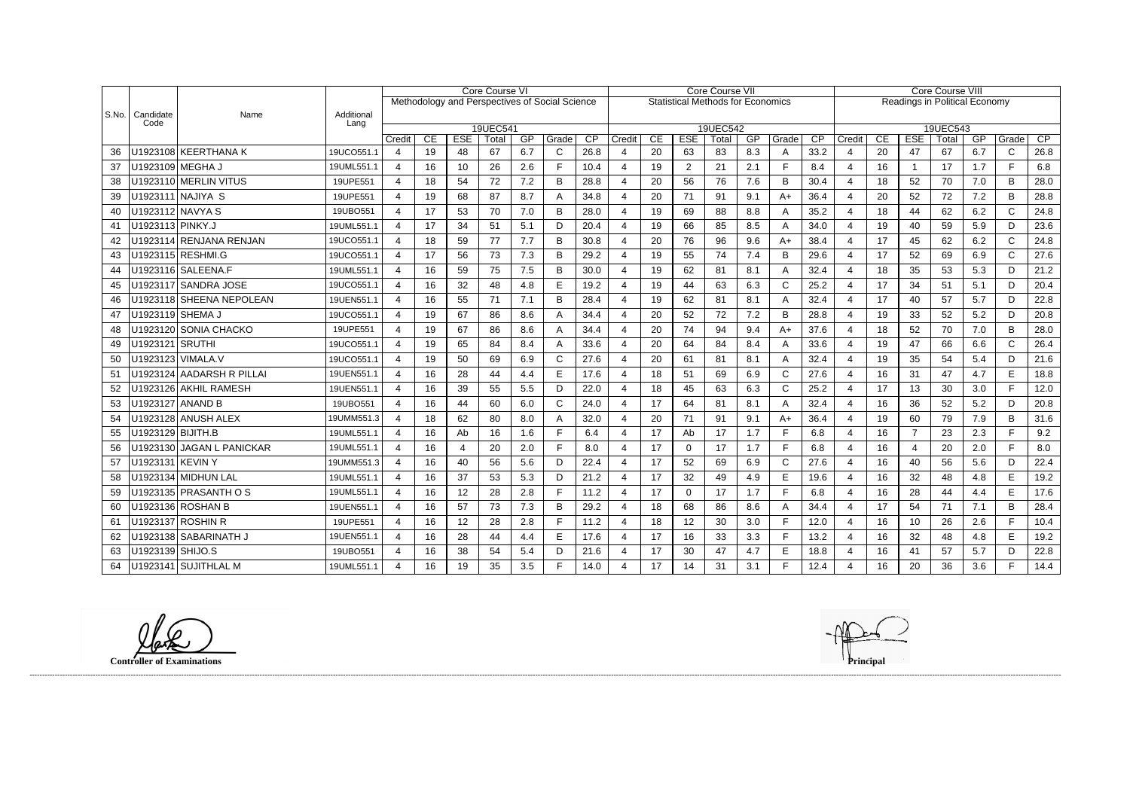|       |                   |                           |                    | Core Course VI<br>Methodology and Perspectives of Social Science |          |                  |             |           |                       | Core Course VII |                          |          |                  |                                          |           |              | Core Course VIII |                          |          |                  |                               |           |                       |            |
|-------|-------------------|---------------------------|--------------------|------------------------------------------------------------------|----------|------------------|-------------|-----------|-----------------------|-----------------|--------------------------|----------|------------------|------------------------------------------|-----------|--------------|------------------|--------------------------|----------|------------------|-------------------------------|-----------|-----------------------|------------|
|       |                   |                           |                    |                                                                  |          |                  |             |           |                       |                 |                          |          |                  | <b>Statistical Methods for Economics</b> |           |              |                  |                          |          |                  | Readings in Political Economy |           |                       |            |
| S.No. | Candidate<br>Code | Name                      | Additional<br>Lang |                                                                  |          |                  |             |           |                       |                 |                          |          |                  |                                          |           |              |                  |                          |          |                  |                               |           |                       |            |
|       |                   |                           |                    |                                                                  |          |                  | 19UEC541    |           |                       |                 |                          |          |                  | 19UEC542                                 |           |              |                  |                          |          |                  | 19UEC543                      |           |                       |            |
| 36    |                   | U1923108 KEERTHANA K      | 19UCO551.1         | Credit<br>$\overline{4}$                                         | CE<br>19 | <b>ESE</b><br>48 | Total<br>67 | GP<br>6.7 | Grade<br>$\mathsf{C}$ | CP<br>26.8      | Credit<br>4              | CE<br>20 | <b>ESE</b><br>63 | Total<br>83                              | GP<br>8.3 | Grade<br>A   | CP<br>33.2       | Credit<br>$\overline{4}$ | CE<br>20 | <b>ESE</b><br>47 | Total<br>67                   | GP<br>6.7 | Grade<br>$\mathsf{C}$ | CP<br>26.8 |
| 37    |                   | U1923109 MEGHA J          | 19UML551.1         | $\overline{4}$                                                   | 16       | 10               | 26          | 2.6       | F                     | 10.4            | $\overline{4}$           | 19       | 2                | 21                                       | 2.1       | F            | 8.4              | $\overline{4}$           | 16       | $\overline{1}$   | 17                            | 1.7       | F.                    | 6.8        |
| 38    |                   | U1923110 MERLIN VITUS     | 19UPE551           | 4                                                                | 18       | 54               | 72          | 7.2       | B                     | 28.8            | $\boldsymbol{\Delta}$    | 20       | 56               | 76                                       | 7.6       | B            | 30.4             | $\overline{4}$           | 18       | 52               | 70                            | 7.0       | B                     | 28.0       |
| 39    |                   | U1923111 NAJIYA S         | 19UPE551           | 4                                                                | 19       | 68               | 87          | 8.7       | A                     | 34.8            | $\overline{4}$           | 20       | 71               | 91                                       | 9.1       | $A+$         | 36.4             | $\overline{4}$           | 20       | 52               | 72                            | 7.2       | B                     | 28.8       |
| 40    |                   | U1923112 NAVYA S          | 19UBO551           | 4                                                                | 17       | 53               | 70          | 7.0       | B                     | 28.0            |                          | 19       | 69               | 88                                       | 8.8       | A            | 35.2             | $\overline{4}$           | 18       | 44               | 62                            | 6.2       | $\mathsf{C}$          | 24.8       |
| 41    | U1923113 PINKY.J  |                           | 19UML551.1         | 4                                                                | 17       | 34               | 51          | 5.1       | D                     | 20.4            | 4                        | 19       | 66               | 85                                       | 8.5       | A            | 34.0             | $\overline{4}$           | 19       | 40               | 59                            | 5.9       | D                     | 23.6       |
| 42    |                   | U1923114 RENJANA RENJAN   | 19UCO551.1         | 4                                                                | 18       | 59               | 77          | 7.7       | B                     | 30.8            | 4                        | 20       | 76               | 96                                       | 9.6       | $A+$         | 38.4             | $\overline{4}$           | 17       | 45               | 62                            | 6.2       | $\mathsf C$           | 24.8       |
| 43    |                   | U1923115 RESHMI.G         | 19UCO551.1         | 4                                                                | 17       | 56               | 73          | 7.3       | B                     | 29.2            | $\boldsymbol{\Delta}$    | 19       | 55               | 74                                       | 7.4       | B            | 29.6             | $\overline{4}$           | 17       | 52               | 69                            | 6.9       | $\mathsf{C}$          | 27.6       |
| 44    |                   | U1923116   SALEENA.F      | 19UML551.1         | 4                                                                | 16       | 59               | 75          | 7.5       | B                     | 30.0            | 4                        | 19       | 62               | 81                                       | 8.1       | A            | 32.4             | $\overline{4}$           | 18       | 35               | 53                            | 5.3       | D                     | 21.2       |
| 45    |                   | U1923117 SANDRA JOSE      | 19UCO551.1         | 4                                                                | 16       | 32               | 48          | 4.8       | E                     | 19.2            | 4                        | 19       | 44               | 63                                       | 6.3       | $\mathsf{C}$ | 25.2             | 4                        | 17       | 34               | 51                            | 5.1       | D                     | 20.4       |
| 46    |                   | U1923118 SHEENA NEPOLEAN  | 19UEN551.1         | $\overline{4}$                                                   | 16       | 55               | 71          | 7.1       | B                     | 28.4            | 4                        | 19       | 62               | 81                                       | 8.1       | A            | 32.4             | $\overline{4}$           | 17       | 40               | 57                            | 5.7       | D                     | 22.8       |
| 47    |                   | U1923119 SHEMA J          | 19UCO551.1         | $\overline{4}$                                                   | 19       | 67               | 86          | 8.6       | A                     | 34.4            | $\boldsymbol{\Delta}$    | 20       | 52               | 72                                       | 7.2       | B            | 28.8             | $\overline{4}$           | 19       | 33               | 52                            | 5.2       | D                     | 20.8       |
| 48    |                   | U1923120 SONIA CHACKO     | 19UPE551           | $\overline{4}$                                                   | 19       | 67               | 86          | 8.6       | A                     | 34.4            | Δ                        | 20       | 74               | 94                                       | 9.4       | $A+$         | 37.6             | $\overline{4}$           | 18       | 52               | 70                            | 7.0       | B                     | 28.0       |
| 49    | U1923121 SRUTHI   |                           | 19UCO551.1         | $\overline{4}$                                                   | 19       | 65               | 84          | 8.4       | А                     | 33.6            | $\overline{\mathcal{A}}$ | 20       | 64               | 84                                       | 8.4       | A            | 33.6             | $\overline{4}$           | 19       | 47               | 66                            | 6.6       | $\mathsf{C}$          | 26.4       |
| 50    |                   | U1923123   VIMALA.V       | 19UCO551.1         | $\overline{4}$                                                   | 19       | 50               | 69          | 6.9       | $\mathsf{C}$          | 27.6            | $\boldsymbol{\varDelta}$ | 20       | 61               | 81                                       | 8.1       | A            | 32.4             | $\overline{4}$           | 19       | 35               | 54                            | 5.4       | D                     | 21.6       |
| 51    |                   | U1923124 AADARSH R PILLAI | 19UEN551.1         | 4                                                                | 16       | 28               | 44          | 4.4       | E                     | 17.6            | 4                        | 18       | 51               | 69                                       | 6.9       | $\mathsf{C}$ | 27.6             | $\overline{4}$           | 16       | 31               | 47                            | 4.7       | E                     | 18.8       |
| 52    |                   | U1923126 AKHIL RAMESH     | 19UEN551.1         | 4                                                                | 16       | 39               | 55          | 5.5       | D                     | 22.0            | $\boldsymbol{\varDelta}$ | 18       | 45               | 63                                       | 6.3       | $\mathsf C$  | 25.2             | $\overline{4}$           | 17       | 13               | 30                            | 3.0       | F.                    | 12.0       |
| 53    |                   | U1923127 ANAND B          | 19UBO551           | 4                                                                | 16       | 44               | 60          | 6.0       | $\mathsf{C}$          | 24.0            | 4                        | 17       | 64               | 81                                       | 8.1       | A            | 32.4             | $\overline{4}$           | 16       | 36               | 52                            | 5.2       | D                     | 20.8       |
| 54    |                   | U1923128 ANUSH ALEX       | 19UMM551.3         | $\overline{4}$                                                   | 18       | 62               | 80          | 8.0       | Α                     | 32.0            | $\boldsymbol{\Delta}$    | 20       | 71               | 91                                       | 9.1       | $A+$         | 36.4             | 4                        | 19       | 60               | 79                            | 7.9       | B                     | 31.6       |
| 55    | U1923129 BIJITH.B |                           | 19UML551.1         | $\overline{4}$                                                   | 16       | Ab               | 16          | 1.6       | E                     | 6.4             | $\overline{4}$           | 17       | Ab               | 17                                       | 1.7       | $\mathsf{F}$ | 6.8              | $\overline{4}$           | 16       | $\overline{7}$   | 23                            | 2.3       | F.                    | 9.2        |
| 56    |                   | U1923130 JAGAN L PANICKAR | 19UML551.1         | 4                                                                | 16       | $\overline{4}$   | 20          | 2.0       | F                     | 8.0             | 4                        | 17       | $\mathbf 0$      | 17                                       | 1.7       | $\mathsf{F}$ | 6.8              | $\overline{4}$           | 16       | $\overline{4}$   | 20                            | 2.0       | F                     | 8.0        |
| 57    | U1923131 KEVIN Y  |                           | 19UMM551.3         | $\overline{4}$                                                   | 16       | 40               | 56          | 5.6       | D                     | 22.4            | 4                        | 17       | 52               | 69                                       | 6.9       | $\mathsf C$  | 27.6             | $\overline{4}$           | 16       | 40               | 56                            | 5.6       | D                     | 22.4       |
| 58    |                   | U1923134   MIDHUN LAL     | 19UML551.1         | 4                                                                | 16       | 37               | 53          | 5.3       | D                     | 21.2            |                          | 17       | 32               | 49                                       | 4.9       | E            | 19.6             | $\overline{4}$           | 16       | 32               | 48                            | 4.8       | E                     | 19.2       |
| 59    |                   | U1923135 PRASANTH O S     | 19UML551.1         | 4                                                                | 16       | 12               | 28          | 2.8       |                       | 11.2            | $\boldsymbol{\Delta}$    | 17       | $\overline{0}$   | 17                                       | 1.7       | F            | 6.8              | $\overline{4}$           | 16       | 28               | 44                            | 4.4       | E                     | 17.6       |
| 60    |                   | U1923136 ROSHAN B         | 19UEN551.1         | 4                                                                | 16       | 57               | 73          | 7.3       | B                     | 29.2            | 4                        | 18       | 68               | 86                                       | 8.6       | A            | 34.4             | $\overline{4}$           | 17       | 54               | 71                            | 7.1       | B                     | 28.4       |
| 61    |                   | U1923137 ROSHIN R         | 19UPE551           | 4                                                                | 16       | 12               | 28          | 2.8       |                       | 11.2            | $\boldsymbol{\Delta}$    | 18       | 12               | 30                                       | 3.0       | F            | 12.0             | $\overline{4}$           | 16       | 10               | 26                            | 2.6       | F.                    | 10.4       |
| 62    |                   | SABARINATH J              | 19UEN551.1         | 4                                                                | 16       | 28               | 44          | 4.4       | E                     | 17.6            |                          | 17       | 16               | 33                                       | 3.3       | $\mathsf F$  | 13.2             | 4                        | 16       | 32               | 48                            | 4.8       | E                     | 19.2       |
| 63    | U1923139 SHIJO.S  |                           | 19UBO551           | 4                                                                | 16       | 38               | 54          | 5.4       | D                     | 21.6            |                          | 17       | 30               | 47                                       | 4.7       | E            | 18.8             | $\boldsymbol{4}$         | 16       | 41               | 57                            | 5.7       | D                     | 22.8       |
| 64    |                   | U1923141 SUJITHLAL M      | 19UML551.1         | 4                                                                | 16       | 19               | 35          | 3.5       |                       | 14.0            |                          | 17       | 14               | 31                                       | 3.1       | F            | 12.4             | $\overline{4}$           | 16       | 20               | 36                            | 3.6       | F.                    | 14.4       |

**Controller of Examinations**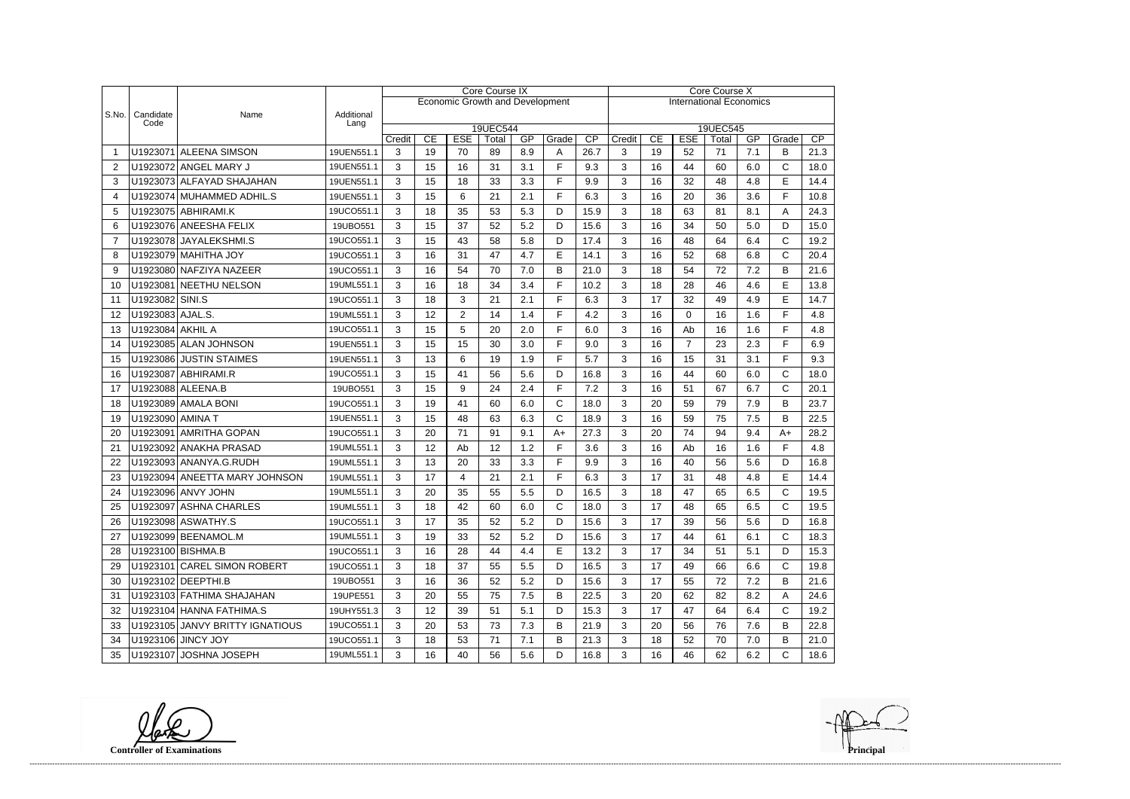|       |                   |                                 |                    |             |    | <b>Core Course IX</b> |                                        |     | Core Course X |                         |                                                            |    |                |    |     |              |      |  |
|-------|-------------------|---------------------------------|--------------------|-------------|----|-----------------------|----------------------------------------|-----|---------------|-------------------------|------------------------------------------------------------|----|----------------|----|-----|--------------|------|--|
|       |                   |                                 |                    |             |    |                       | <b>Economic Growth and Development</b> |     |               |                         | <b>International Economics</b>                             |    |                |    |     |              |      |  |
| S.No. | Candidate<br>Code | Name                            | Additional<br>Lang |             |    |                       |                                        |     |               |                         |                                                            |    |                |    |     |              |      |  |
|       |                   |                                 |                    |             | CE | <b>ESE</b>            | 19UEC544<br>Total                      | GP  | Grade         | Credit                  | 19UEC545<br>CE<br><b>ESE</b><br>GP<br>CP<br>Total<br>Grade |    |                |    |     |              |      |  |
|       |                   | U1923071 ALEENA SIMSON          | 19UEN551.1         | Credit<br>3 | 19 | 70                    | 89                                     | 8.9 | A             | $\overline{CP}$<br>26.7 | 3                                                          | 19 | 52             | 71 | 7.1 | B            | 21.3 |  |
| 2     |                   | U1923072 ANGEL MARY J           | 19UEN551.1         | 3           | 15 | 16                    | 31                                     | 3.1 | F             | 9.3                     | 3                                                          | 16 | 44             | 60 | 6.0 | $\mathsf{C}$ | 18.0 |  |
| 3     |                   | U1923073 ALFAYAD SHAJAHAN       | 19UEN551.1         | 3           | 15 | 18                    | 33                                     | 3.3 | F             | 9.9                     | 3                                                          | 16 | 32             | 48 | 4.8 | E            | 14.4 |  |
| 4     |                   | U1923074 MUHAMMED ADHIL.S       | 19UEN551.1         | 3           | 15 | 6                     | 21                                     | 2.1 | F             | 6.3                     | 3                                                          | 16 | 20             | 36 | 3.6 | E            | 10.8 |  |
| 5     |                   | U1923075 ABHIRAMI.K             | 19UCO551.1         | 3           | 18 | 35                    | 53                                     | 5.3 | D             | 15.9                    | 3                                                          | 18 | 63             | 81 | 8.1 | A            | 24.3 |  |
| 6     |                   | U1923076 ANEESHA FELIX          | 19UBO551           | 3           | 15 | 37                    | 52                                     | 5.2 | D             | 15.6                    | 3                                                          | 16 | 34             | 50 | 5.0 | D            | 15.0 |  |
| 7     |                   | U1923078 JAYALEKSHMI.S          | 19UCO551.1         | 3           | 15 | 43                    | 58                                     | 5.8 | D             | 17.4                    | 3                                                          | 16 | 48             | 64 | 6.4 | $\mathsf{C}$ | 19.2 |  |
| 8     |                   | U1923079 MAHITHA JOY            | 19UCO551.1         | 3           | 16 | 31                    | 47                                     | 4.7 | E             | 14.1                    | 3                                                          | 16 | 52             | 68 | 6.8 | $\mathsf{C}$ | 20.4 |  |
| 9     |                   | U1923080 NAFZIYA NAZEER         | 19UCO551.1         | 3           | 16 | 54                    | 70                                     | 7.0 | B             | 21.0                    | 3                                                          | 18 | 54             | 72 | 7.2 | B            | 21.6 |  |
| 10    |                   | U1923081 NEETHU NELSON          | 19UML551.1         | 3           | 16 | 18                    | 34                                     | 3.4 | F             | 10.2                    | 3                                                          | 18 | 28             | 46 | 4.6 | E            | 13.8 |  |
| 11    | U1923082 SINI.S   |                                 | 19UCO551.1         | 3           | 18 | 3                     | 21                                     | 2.1 | F             | 6.3                     | 3                                                          | 17 | 32             | 49 | 4.9 | E            | 14.7 |  |
| 12    | U1923083 AJAL.S.  |                                 | 19UML551.1         | 3           | 12 | $\overline{2}$        | 14                                     | 1.4 | F             | 4.2                     | 3                                                          | 16 | 0              | 16 | 1.6 | F            | 4.8  |  |
| 13    | U1923084 AKHIL A  |                                 | 19UCO551.1         | 3           | 15 | 5                     | 20                                     | 2.0 | F             | 6.0                     | 3                                                          | 16 | Ab             | 16 | 1.6 | F            | 4.8  |  |
| 14    |                   | U1923085 ALAN JOHNSON           | 19UEN551.1         | 3           | 15 | 15                    | 30                                     | 3.0 | F             | 9.0                     | 3                                                          | 16 | $\overline{7}$ | 23 | 2.3 | E            | 6.9  |  |
| 15    |                   | U1923086 JUSTIN STAIMES         | 19UEN551.1         | 3           | 13 | 6                     | 19                                     | 1.9 | F             | 5.7                     | 3                                                          | 16 | 15             | 31 | 3.1 | F            | 9.3  |  |
| 16    |                   | U1923087 ABHIRAMI.R             | 19UCO551.1         | 3           | 15 | 41                    | 56                                     | 5.6 | D             | 16.8                    | 3                                                          | 16 | 44             | 60 | 6.0 | C            | 18.0 |  |
| 17    |                   | U1923088 ALEENA.B               | 19UBO551           | 3           | 15 | 9                     | 24                                     | 2.4 | F             | 7.2                     | 3                                                          | 16 | 51             | 67 | 6.7 | C            | 20.1 |  |
| 18    |                   | U1923089 AMALA BONI             | 19UCO551.1         | 3           | 19 | 41                    | 60                                     | 6.0 | C             | 18.0                    | 3                                                          | 20 | 59             | 79 | 7.9 | B            | 23.7 |  |
| 19    | U1923090 AMINA T  |                                 | 19UEN551.1         | 3           | 15 | 48                    | 63                                     | 6.3 | $\mathsf{C}$  | 18.9                    | 3                                                          | 16 | 59             | 75 | 7.5 | B            | 22.5 |  |
| 20    |                   | U1923091 AMRITHA GOPAN          | 19UCO551.1         | 3           | 20 | 71                    | 91                                     | 9.1 | $A+$          | 27.3                    | 3                                                          | 20 | 74             | 94 | 9.4 | $A+$         | 28.2 |  |
| 21    |                   | U1923092 ANAKHA PRASAD          | 19UML551.1         | 3           | 12 | Ab                    | 12                                     | 1.2 | F             | 3.6                     | 3                                                          | 16 | Ab             | 16 | 1.6 | F            | 4.8  |  |
| 22    |                   | U1923093 ANANYA.G.RUDH          | 19UML551.1         | 3           | 13 | 20                    | 33                                     | 3.3 | F             | 9.9                     | 3                                                          | 16 | 40             | 56 | 5.6 | D            | 16.8 |  |
| 23    |                   | U1923094 ANEETTA MARY JOHNSON   | 19UML551.1         | 3           | 17 | 4                     | 21                                     | 2.1 | F             | 6.3                     | 3                                                          | 17 | 31             | 48 | 4.8 | E            | 14.4 |  |
| 24    |                   | U1923096 ANVY JOHN              | 19UML551.1         | 3           | 20 | 35                    | 55                                     | 5.5 | D             | 16.5                    | 3                                                          | 18 | 47             | 65 | 6.5 | $\mathsf{C}$ | 19.5 |  |
| 25    |                   | U1923097 ASHNA CHARLES          | 19UML551.1         | 3           | 18 | 42                    | 60                                     | 6.0 | C             | 18.0                    | 3                                                          | 17 | 48             | 65 | 6.5 | C            | 19.5 |  |
| 26    |                   | U1923098 ASWATHY.S              | 19UCO551.1         | 3           | 17 | 35                    | 52                                     | 5.2 | D             | 15.6                    | 3                                                          | 17 | 39             | 56 | 5.6 | D            | 16.8 |  |
| 27    |                   | U1923099 BEENAMOL.M             | 19UML551.1         | 3           | 19 | 33                    | 52                                     | 5.2 | D             | 15.6                    | 3                                                          | 17 | 44             | 61 | 6.1 | C            | 18.3 |  |
| 28    |                   | U1923100 BISHMA.B               | 19UCO551.1         | 3           | 16 | 28                    | 44                                     | 4.4 | Е             | 13.2                    | 3                                                          | 17 | 34             | 51 | 5.1 | D            | 15.3 |  |
| 29    |                   | U1923101 CAREL SIMON ROBERT     | 19UCO551.1         | 3           | 18 | 37                    | 55                                     | 5.5 | D             | 16.5                    | 3                                                          | 17 | 49             | 66 | 6.6 | $\mathsf{C}$ | 19.8 |  |
| 30    |                   | U1923102 DEEPTHI.B              | 19UBO551           | 3           | 16 | 36                    | 52                                     | 5.2 | D             | 15.6                    | 3                                                          | 17 | 55             | 72 | 7.2 | В            | 21.6 |  |
| 31    |                   | U1923103 FATHIMA SHAJAHAN       | 19UPE551           | 3           | 20 | 55                    | 75                                     | 7.5 | B             | 22.5                    | 3                                                          | 20 | 62             | 82 | 8.2 | Α            | 24.6 |  |
| 32    |                   | U1923104 HANNA FATHIMA.S        | 19UHY551.3         | 3           | 12 | 39                    | 51                                     | 5.1 | D             | 15.3                    | 3                                                          | 17 | 47             | 64 | 6.4 | C            | 19.2 |  |
| 33    |                   | U1923105 JANVY BRITTY IGNATIOUS | 19UCO551.1         | 3           | 20 | 53                    | 73                                     | 7.3 | B             | 21.9                    | 3                                                          | 20 | 56             | 76 | 7.6 | В            | 22.8 |  |
| 34    |                   | U1923106 JINCY JOY              | 19UCO551.1         | 3           | 18 | 53                    | 71                                     | 7.1 | B             | 21.3                    | 3                                                          | 18 | 52             | 70 | 7.0 | В            | 21.0 |  |
| 35    |                   | U1923107 JOSHNA JOSEPH          | 19UML551.1         | 3           | 16 | 40                    | 56                                     | 5.6 | D             | 16.8                    | 3                                                          | 16 | 46             | 62 | 6.2 | С            | 18.6 |  |

**Controller of Examinations**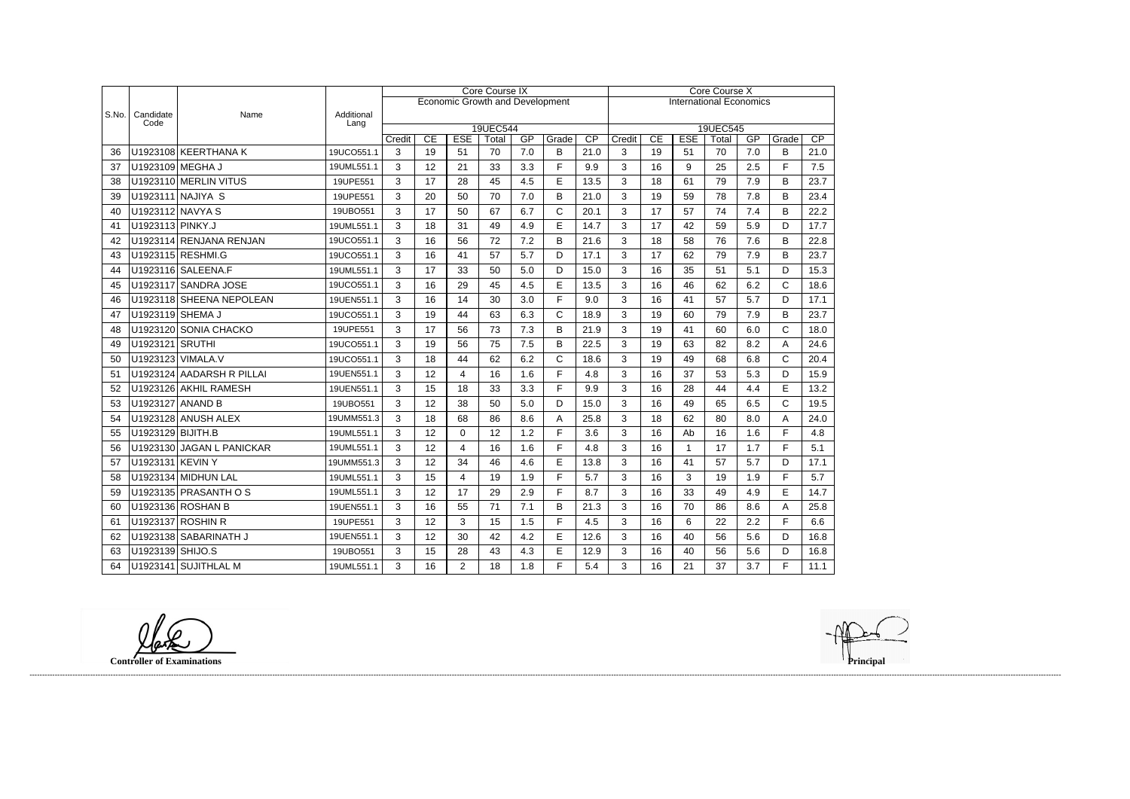|       |                   |                           |                    | Core Course IX |                                        |                  |                                |           |              |            |             | Core Course X |                  |             |           |              |            |  |  |
|-------|-------------------|---------------------------|--------------------|----------------|----------------------------------------|------------------|--------------------------------|-----------|--------------|------------|-------------|---------------|------------------|-------------|-----------|--------------|------------|--|--|
|       |                   |                           |                    |                | <b>Economic Growth and Development</b> |                  | <b>International Economics</b> |           |              |            |             |               |                  |             |           |              |            |  |  |
| S.No. | Candidate<br>Code | Name                      | Additional<br>Lang |                |                                        |                  |                                |           |              |            |             |               |                  |             |           |              |            |  |  |
|       |                   |                           |                    |                |                                        |                  | 19UEC544                       |           |              |            |             |               |                  | 19UEC545    |           |              |            |  |  |
| 36    |                   | U1923108 KEERTHANA K      | 19UCO551.1         | Credit<br>3    | $\overline{CE}$<br>19                  | <b>ESE</b><br>51 | Total<br>70                    | GP<br>7.0 | Grade<br>B   | CP<br>21.0 | Credit<br>3 | CE<br>19      | <b>ESE</b><br>51 | Total<br>70 | GP<br>7.0 | Grade<br>B   | CP<br>21.0 |  |  |
| 37    |                   | U1923109 MEGHA J          | 19UML551.1         | 3              | 12                                     | 21               | 33                             | 3.3       | F            | 9.9        | 3           | 16            | 9                | 25          | 2.5       | $\mathsf{F}$ | 7.5        |  |  |
| 38    |                   | U1923110 MERLIN VITUS     | 19UPE551           | 3              | 17                                     | 28               | 45                             | 4.5       | $\mathsf E$  | 13.5       | 3           | 18            | 61               | 79          | 7.9       | B            | 23.7       |  |  |
| 39    |                   | U1923111 NAJIYA S         | 19UPE551           | 3              | 20                                     | 50               | 70                             | 7.0       | B            | 21.0       | 3           | 19            | 59               | 78          | 7.8       | B            | 23.4       |  |  |
|       | U1923112 NAVYA S  |                           |                    |                |                                        |                  |                                |           |              |            |             |               |                  |             |           |              |            |  |  |
| 40    |                   |                           | 19UBO551           | 3              | 17                                     | 50               | 67                             | 6.7       | $\mathsf{C}$ | 20.1       | 3           | 17            | 57               | 74          | 7.4       | B            | 22.2       |  |  |
| 41    | U1923113 PINKY.J  |                           | 19UML551.1         | 3              | 18                                     | 31               | 49                             | 4.9       | $\mathsf E$  | 14.7       | 3           | 17            | 42               | 59          | 5.9       | D            | 17.7       |  |  |
| 42    |                   | U1923114 RENJANA RENJAN   | 19UCO551.1         | 3              | 16                                     | 56               | 72                             | 7.2       | B            | 21.6       | 3           | 18            | 58               | 76          | 7.6       | B            | 22.8       |  |  |
| 43    |                   | U1923115 RESHMI.G         | 19UCO551.1         | 3              | 16                                     | 41               | 57                             | 5.7       | D            | 17.1       | 3           | 17            | 62               | 79          | 7.9       | B            | 23.7       |  |  |
| 44    |                   | U1923116 SALEENA.F        | 19UML551.1         | 3              | 17                                     | 33               | 50                             | 5.0       | D            | 15.0       | 3           | 16            | 35               | 51          | 5.1       | D            | 15.3       |  |  |
| 45    |                   | U1923117 SANDRA JOSE      | 19UCO551.1         | 3              | 16                                     | 29               | 45                             | 4.5       | E            | 13.5       | 3           | 16            | 46               | 62          | 6.2       | $\mathsf{C}$ | 18.6       |  |  |
| 46    |                   | U1923118 SHEENA NEPOLEAN  | 19UEN551.1         | 3              | 16                                     | 14               | 30                             | 3.0       | F            | 9.0        | 3           | 16            | 41               | 57          | 5.7       | D            | 17.1       |  |  |
| 47    | U1923119 SHEMA J  |                           | 19UCO551.1         | 3              | 19                                     | 44               | 63                             | 6.3       | $\mathsf{C}$ | 18.9       | 3           | 19            | 60               | 79          | 7.9       | B            | 23.7       |  |  |
| 48    |                   | U1923120 SONIA CHACKO     | 19UPE551           | 3              | 17                                     | 56               | 73                             | 7.3       | B            | 21.9       | 3           | 19            | 41               | 60          | 6.0       | $\mathsf{C}$ | 18.0       |  |  |
| 49    | U1923121 SRUTHI   |                           | 19UCO551.1         | 3              | 19                                     | 56               | 75                             | 7.5       | B            | 22.5       | 3           | 19            | 63               | 82          | 8.2       | A            | 24.6       |  |  |
| 50    |                   | U1923123 VIMALA.V         | 19UCO551.1         | 3              | 18                                     | 44               | 62                             | 6.2       | $\mathsf{C}$ | 18.6       | 3           | 19            | 49               | 68          | 6.8       | $\mathsf{C}$ | 20.4       |  |  |
| 51    |                   | U1923124 AADARSH R PILLAI | 19UEN551.1         | 3              | 12                                     | $\overline{4}$   | 16                             | 1.6       | F            | 4.8        | 3           | 16            | 37               | 53          | 5.3       | D            | 15.9       |  |  |
| 52    |                   | U1923126 AKHIL RAMESH     | 19UEN551.1         | 3              | 15                                     | 18               | 33                             | 3.3       | F            | 9.9        | 3           | 16            | 28               | 44          | 4.4       | E            | 13.2       |  |  |
| 53    | U1923127 ANAND B  |                           | 19UBO551           | 3              | 12                                     | 38               | 50                             | 5.0       | D            | 15.0       | 3           | 16            | 49               | 65          | 6.5       | $\mathsf{C}$ | 19.5       |  |  |
| 54    |                   | U1923128 ANUSH ALEX       | 19UMM551.3         | 3              | 18                                     | 68               | 86                             | 8.6       | A            | 25.8       | 3           | 18            | 62               | 80          | 8.0       | A            | 24.0       |  |  |
| 55    | U1923129 BIJITH.B |                           | 19UML551.1         | 3              | 12                                     | $\mathbf 0$      | 12                             | 1.2       | F            | 3.6        | 3           | 16            | Ab               | 16          | 1.6       | F            | 4.8        |  |  |
| 56    |                   | U1923130 JAGAN L PANICKAR | 19UML551.1         | 3              | 12                                     | $\overline{4}$   | 16                             | 1.6       | F            | 4.8        | 3           | 16            | $\mathbf{1}$     | 17          | 1.7       | E            | 5.1        |  |  |
| 57    | U1923131 KEVIN Y  |                           | 19UMM551.3         | 3              | 12                                     | 34               | 46                             | 4.6       | E            | 13.8       | 3           | 16            | 41               | 57          | 5.7       | D            | 17.1       |  |  |
| 58    |                   | U1923134 MIDHUN LAL       | 19UML551.1         | 3              | 15                                     | $\overline{4}$   | 19                             | 1.9       | F            | 5.7        | 3           | 16            | 3                | 19          | 1.9       | F            | 5.7        |  |  |
| 59    |                   | U1923135 PRASANTH O S     | 19UML551.1         | 3              | 12                                     | 17               | 29                             | 2.9       | F            | 8.7        | 3           | 16            | 33               | 49          | 4.9       | E            | 14.7       |  |  |
| 60    |                   | U1923136 ROSHAN B         | 19UEN551.1         | 3              | 16                                     | 55               | 71                             | 7.1       | B            | 21.3       | 3           | 16            | 70               | 86          | 8.6       | A            | 25.8       |  |  |
| 61    |                   | U1923137 ROSHIN R         | 19UPE551           | 3              | 12                                     | 3                | 15                             | 1.5       | F            | 4.5        | 3           | 16            | 6                | 22          | 2.2       | $\mathsf{F}$ | 6.6        |  |  |
| 62    |                   | U1923138 SABARINATH J     | 19UEN551.1         | 3              | 12                                     | 30               | 42                             | 4.2       | E            | 12.6       | 3           | 16            | 40               | 56          | 5.6       | D            | 16.8       |  |  |
| 63    | U1923139 SHIJO.S  |                           | 19UBO551           | 3              | 15                                     | 28               | 43                             | 4.3       | E            | 12.9       | 3           | 16            | 40               | 56          | 5.6       | D            | 16.8       |  |  |
| 64    |                   | U1923141 SUJITHLAL M      | 19UML551.1         | 3              | 16                                     | $\overline{2}$   | 18                             | 1.8       | F            | 5.4        | 3           | 16            | 21               | 37          | 3.7       | E            | 11.1       |  |  |

**Controller of Examinations**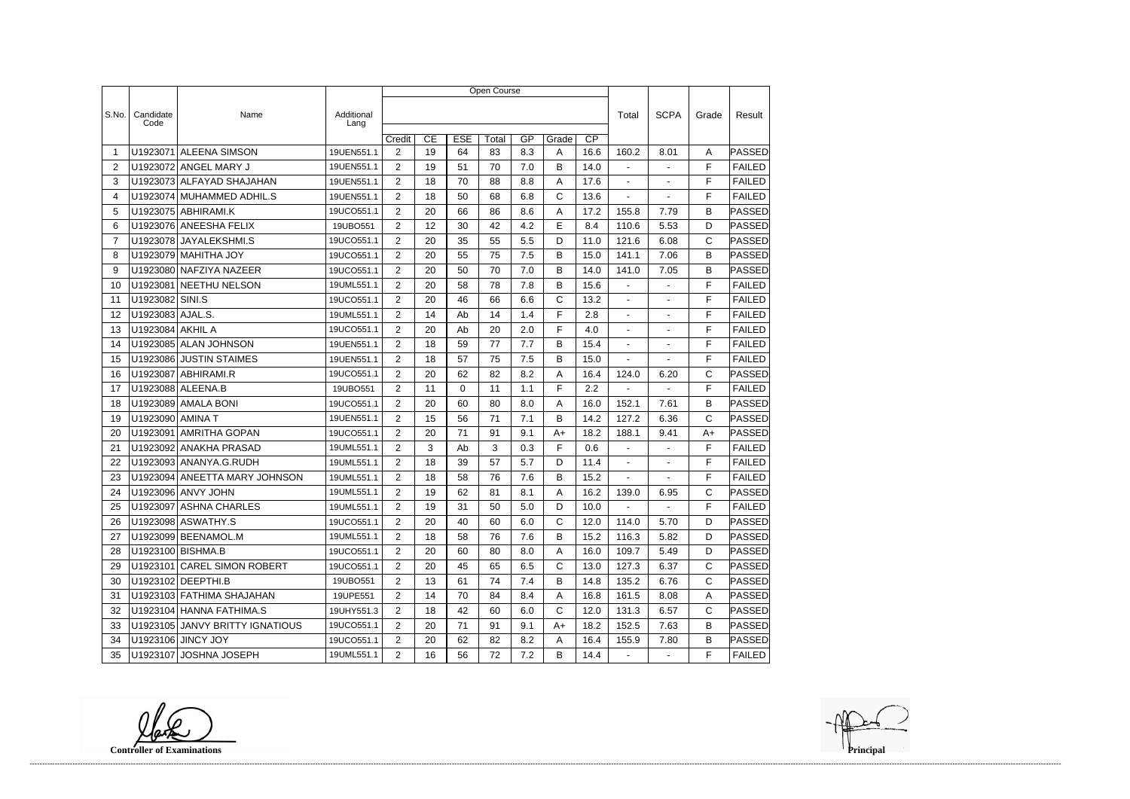|                |                   |                                 |                    | Open Course    |    |            |       |         |              |                 |                |                |              |               |
|----------------|-------------------|---------------------------------|--------------------|----------------|----|------------|-------|---------|--------------|-----------------|----------------|----------------|--------------|---------------|
|                |                   |                                 |                    |                |    |            |       |         |              |                 |                |                |              |               |
| S.No.          | Candidate<br>Code | Name                            | Additional<br>Lang |                |    |            |       |         |              |                 | Total          | <b>SCPA</b>    | Grade        | Result        |
|                |                   |                                 |                    | Credit         | CE | <b>ESE</b> | Total | GP      | Grade        | $\overline{CP}$ |                |                |              |               |
| -1             | U1923071          | <b>ALEENA SIMSON</b>            | 19UEN551.1         | $\overline{2}$ | 19 | 64         | 83    | 8.3     | Α            | 16.6            | 160.2          | 8.01           | A            | PASSED        |
| $\overline{2}$ |                   | U1923072 ANGEL MARY J           | 19UEN551.1         | $\overline{2}$ | 19 | 51         | 70    | 7.0     | B            | 14.0            | $\blacksquare$ | $\sim$         | F            | <b>FAILED</b> |
| 3              |                   | U1923073 ALFAYAD SHAJAHAN       | 19UEN551.1         | $\overline{2}$ | 18 | 70         | 88    | 8.8     | Α            | 17.6            | $\blacksquare$ | $\blacksquare$ | F            | <b>FAILED</b> |
| 4              |                   | U1923074 MUHAMMED ADHIL.S       | 19UEN551.1         | $\overline{2}$ | 18 | 50         | 68    | 6.8     | C            | 13.6            |                |                | F            | <b>FAILED</b> |
| 5              |                   | U1923075 ABHIRAMI.K             | 19UCO551.1         | 2              | 20 | 66         | 86    | 8.6     | Α            | 17.2            | 155.8          | 7.79           | B            | PASSED        |
| 6              |                   | U1923076 ANEESHA FELIX          | 19UBO551           | $\overline{2}$ | 12 | 30         | 42    | 4.2     | E            | 8.4             | 110.6          | 5.53           | D            | PASSED        |
| $\overline{7}$ |                   | U1923078 JAYALEKSHMI.S          | 19UCO551.1         | $\overline{2}$ | 20 | 35         | 55    | 5.5     | D            | 11.0            | 121.6          | 6.08           | $\mathsf{C}$ | <b>PASSED</b> |
| 8              |                   | U1923079 MAHITHA JOY            | 19UCO551.1         | $\overline{2}$ | 20 | 55         | 75    | 7.5     | В            | 15.0            | 141.1          | 7.06           | B            | <b>PASSED</b> |
| 9              |                   | U1923080 NAFZIYA NAZEER         | 19UCO551.1         | $\overline{2}$ | 20 | 50         | 70    | 7.0     | B            | 14.0            | 141.0          | 7.05           | B            | PASSED        |
| 10             | U1923081          | NEETHU NELSON                   | 19UML551.1         | $\overline{2}$ | 20 | 58         | 78    | 7.8     | B            | 15.6            | $\blacksquare$ | $\overline{a}$ | F            | <b>FAILED</b> |
| 11             | U1923082 SINI.S   |                                 | 19UCO551.1         | $\overline{2}$ | 20 | 46         | 66    | 6.6     | C            | 13.2            |                |                | F            | <b>FAILED</b> |
| 12             | U1923083 AJAL.S.  |                                 | 19UML551.1         | $\overline{2}$ | 14 | Ab         | 14    | 1.4     | F            | 2.8             | $\blacksquare$ | $\blacksquare$ | F            | <b>FAILED</b> |
| 13             | U1923084 AKHIL A  |                                 | 19UCO551.1         | $\overline{2}$ | 20 | Ab         | 20    | 2.0     | F            | 4.0             | $\blacksquare$ | ÷,             | F            | <b>FAILED</b> |
| 14             |                   | U1923085 ALAN JOHNSON           | 19UEN551.1         | $\overline{2}$ | 18 | 59         | 77    | 7.7     | B            | 15.4            |                |                | F            | <b>FAILED</b> |
| 15             |                   | U1923086 JUSTIN STAIMES         | 19UEN551.1         | 2              | 18 | 57         | 75    | 7.5     | B            | 15.0            | $\blacksquare$ | $\blacksquare$ | F            | <b>FAILED</b> |
| 16             | U1923087          | ABHIRAMI.R                      | 19UCO551.1         | $\overline{2}$ | 20 | 62         | 82    | 8.2     | Α            | 16.4            | 124.0          | 6.20           | C            | PASSED        |
| 17             |                   | U1923088 ALEENA.B               | 19UBO551           | $\overline{2}$ | 11 | $\Omega$   | 11    | 1.1     | F            | 2.2             | $\blacksquare$ |                | F            | <b>FAILED</b> |
| 18             |                   | U1923089 AMALA BONI             | 19UCO551.1         | $\overline{2}$ | 20 | 60         | 80    | 8.0     | Α            | 16.0            | 152.1          | 7.61           | B            | <b>PASSED</b> |
| 19             | U1923090 AMINA T  |                                 | 19UEN551.1         | $\overline{2}$ | 15 | 56         | 71    | 7.1     | B            | 14.2            | 127.2          | 6.36           | $\mathsf{C}$ | PASSED        |
| 20             | U1923091          | <b>AMRITHA GOPAN</b>            | 19UCO551.1         | $\overline{2}$ | 20 | 71         | 91    | 9.1     | $A+$         | 18.2            | 188.1          | 9.41           | $A+$         | PASSED        |
| 21             |                   | U1923092 ANAKHA PRASAD          | 19UML551.1         | $\overline{2}$ | 3  | Ab         | 3     | 0.3     | F            | 0.6             |                |                | F            | <b>FAILED</b> |
| 22             |                   | U1923093 ANANYA.G.RUDH          | 19UML551.1         | $\overline{2}$ | 18 | 39         | 57    | 5.7     | D            | 11.4            | $\blacksquare$ | $\blacksquare$ | F            | <b>FAILED</b> |
| 23             |                   | U1923094 ANEETTA MARY JOHNSON   | 19UML551.1         | $\overline{2}$ | 18 | 58         | 76    | 7.6     | B            | 15.2            | $\blacksquare$ |                | F            | <b>FAILED</b> |
| 24             |                   | U1923096 ANVY JOHN              | 19UML551.1         | $\overline{2}$ | 19 | 62         | 81    | 8.1     | Α            | 16.2            | 139.0          | 6.95           | C            | PASSED        |
| 25             |                   | U1923097 ASHNA CHARLES          | 19UML551.1         | 2              | 19 | 31         | 50    | $5.0\,$ | D            | 10.0            |                |                | $\mathsf F$  | FAILED        |
| 26             |                   | U1923098 ASWATHY.S              | 19UCO551.1         | $\overline{2}$ | 20 | 40         | 60    | 6.0     | $\mathsf{C}$ | 12.0            | 114.0          | 5.70           | D            | <b>PASSED</b> |
| 27             |                   | U1923099 BEENAMOL.M             | 19UML551.1         | $\overline{2}$ | 18 | 58         | 76    | 7.6     | B            | 15.2            | 116.3          | 5.82           | D            | PASSED        |
| 28             |                   | U1923100 BISHMA.B               | 19UCO551.1         | $\overline{2}$ | 20 | 60         | 80    | 8.0     | A            | 16.0            | 109.7          | 5.49           | D            | <b>PASSED</b> |
| 29             |                   | U1923101 CAREL SIMON ROBERT     | 19UCO551.1         | $\overline{2}$ | 20 | 45         | 65    | 6.5     | $\mathsf{C}$ | 13.0            | 127.3          | 6.37           | $\mathsf{C}$ | <b>PASSED</b> |
| 30             |                   | U1923102 DEEPTHI.B              | 19UBO551           | $\overline{2}$ | 13 | 61         | 74    | 7.4     | B            | 14.8            | 135.2          | 6.76           | C            | PASSED        |
| 31             |                   | U1923103 FATHIMA SHAJAHAN       | 19UPE551           | $\overline{2}$ | 14 | 70         | 84    | 8.4     | A            | 16.8            | 161.5          | 8.08           | Α            | <b>PASSED</b> |
| 32             |                   | U1923104 HANNA FATHIMA.S        | 19UHY551.3         | $\overline{2}$ | 18 | 42         | 60    | 6.0     | $\mathsf{C}$ | 12.0            | 131.3          | 6.57           | $\mathsf{C}$ | PASSED        |
| 33             |                   | U1923105 JANVY BRITTY IGNATIOUS | 19UCO551.1         | $\overline{2}$ | 20 | 71         | 91    | 9.1     | A+           | 18.2            | 152.5          | 7.63           | B            | PASSED        |
| 34             |                   | U1923106 JINCY JOY              | 19UCO551.1         | $\overline{2}$ | 20 | 62         | 82    | 8.2     | A            | 16.4            | 155.9          | 7.80           | B            | <b>PASSED</b> |
| 35             |                   | U1923107 JOSHNA JOSEPH          | 19UML551.1         | $\overline{2}$ | 16 | 56         | 72    | 7.2     | B            | 14.4            | $\blacksquare$ | $\blacksquare$ | F.           | FAILED        |

**Controller of Examinations**